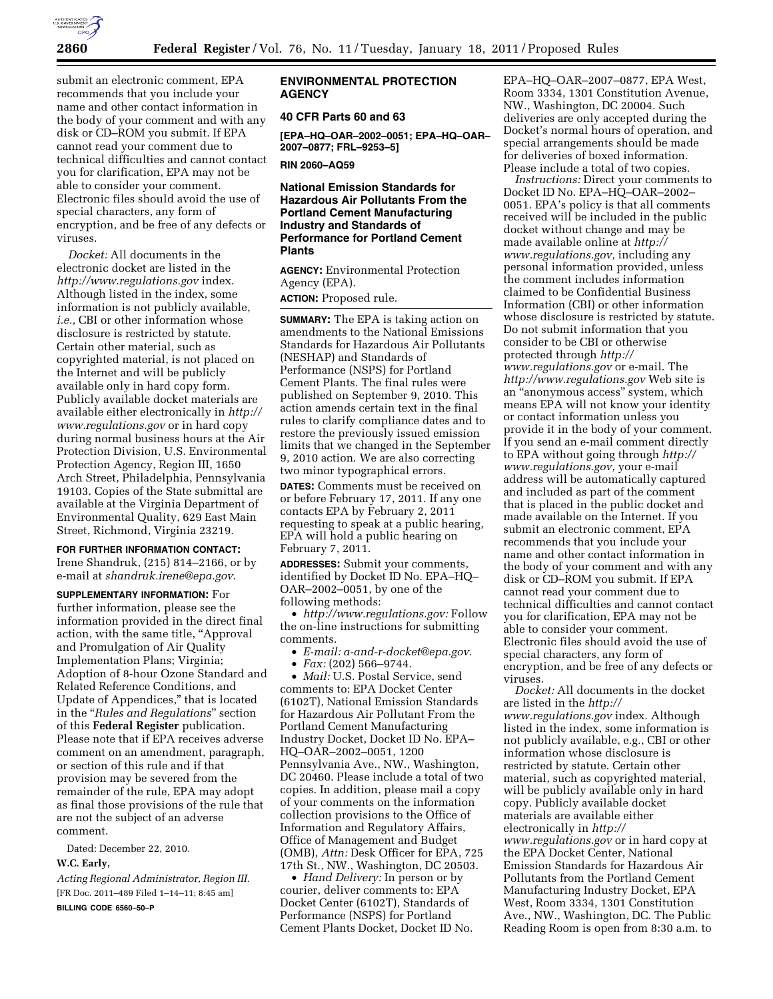

submit an electronic comment, EPA recommends that you include your name and other contact information in the body of your comment and with any disk or CD–ROM you submit. If EPA cannot read your comment due to technical difficulties and cannot contact you for clarification, EPA may not be able to consider your comment. Electronic files should avoid the use of special characters, any form of encryption, and be free of any defects or viruses.

*Docket:* All documents in the electronic docket are listed in the *<http://www.regulations.gov>* index. Although listed in the index, some information is not publicly available, *i.e.,* CBI or other information whose disclosure is restricted by statute. Certain other material, such as copyrighted material, is not placed on the Internet and will be publicly available only in hard copy form. Publicly available docket materials are available either electronically in *[http://](http://www.regulations.gov) [www.regulations.gov](http://www.regulations.gov)* or in hard copy during normal business hours at the Air Protection Division, U.S. Environmental Protection Agency, Region III, 1650 Arch Street, Philadelphia, Pennsylvania 19103. Copies of the State submittal are available at the Virginia Department of Environmental Quality, 629 East Main Street, Richmond, Virginia 23219.

### **FOR FURTHER INFORMATION CONTACT:**

Irene Shandruk, (215) 814–2166, or by e-mail at *[shandruk.irene@epa.gov](mailto:shandruk.irene@epa.gov)*.

**SUPPLEMENTARY INFORMATION:** For further information, please see the information provided in the direct final action, with the same title, "Approval and Promulgation of Air Quality Implementation Plans; Virginia; Adoption of 8-hour Ozone Standard and Related Reference Conditions, and Update of Appendices,'' that is located in the ''*Rules and Regulations*'' section of this **Federal Register** publication. Please note that if EPA receives adverse comment on an amendment, paragraph, or section of this rule and if that provision may be severed from the remainder of the rule, EPA may adopt as final those provisions of the rule that are not the subject of an adverse comment.

Dated: December 22, 2010.

#### **W.C. Early,**

*Acting Regional Administrator, Region III.*  [FR Doc. 2011–489 Filed 1–14–11; 8:45 am]

**BILLING CODE 6560–50–P** 

# **ENVIRONMENTAL PROTECTION AGENCY**

### **40 CFR Parts 60 and 63**

**[EPA–HQ–OAR–2002–0051; EPA–HQ–OAR– 2007–0877; FRL–9253–5]** 

**RIN 2060–AQ59** 

# **National Emission Standards for Hazardous Air Pollutants From the Portland Cement Manufacturing Industry and Standards of Performance for Portland Cement Plants**

**AGENCY:** Environmental Protection Agency (EPA).

**ACTION:** Proposed rule.

**SUMMARY:** The EPA is taking action on amendments to the National Emissions Standards for Hazardous Air Pollutants (NESHAP) and Standards of Performance (NSPS) for Portland Cement Plants. The final rules were published on September 9, 2010. This action amends certain text in the final rules to clarify compliance dates and to restore the previously issued emission limits that we changed in the September 9, 2010 action. We are also correcting two minor typographical errors.

**DATES:** Comments must be received on or before February 17, 2011. If any one contacts EPA by February 2, 2011 requesting to speak at a public hearing, EPA will hold a public hearing on February 7, 2011.

**ADDRESSES:** Submit your comments, identified by Docket ID No. EPA–HQ– OAR–2002–0051, by one of the following methods:

• *[http://www.regulations.gov:](http://www.regulations.gov)* Follow the on-line instructions for submitting comments.

- *E-mail: [a-and-r-docket@epa.gov.](mailto:a-and-r-docket@epa.gov)*
- *Fax:* (202) 566–9744.

• *Mail: U.S. Postal Service, send* comments to: EPA Docket Center (6102T), National Emission Standards for Hazardous Air Pollutant From the Portland Cement Manufacturing Industry Docket, Docket ID No. EPA– HQ–OAR–2002–0051, 1200 Pennsylvania Ave., NW., Washington, DC 20460. Please include a total of two copies. In addition, please mail a copy of your comments on the information collection provisions to the Office of Information and Regulatory Affairs, Office of Management and Budget (OMB), *Attn:* Desk Officer for EPA, 725 17th St., NW., Washington, DC 20503.

• *Hand Delivery:* In person or by courier, deliver comments to: EPA Docket Center (6102T), Standards of Performance (NSPS) for Portland Cement Plants Docket, Docket ID No.

EPA–HQ–OAR–2007–0877, EPA West, Room 3334, 1301 Constitution Avenue, NW., Washington, DC 20004. Such deliveries are only accepted during the Docket's normal hours of operation, and special arrangements should be made for deliveries of boxed information. Please include a total of two copies.

*Instructions:* Direct your comments to Docket ID No. EPA–HQ–OAR–2002– 0051. EPA's policy is that all comments received will be included in the public docket without change and may be made available online at *[http://](http://www.regulations.gov)  [www.regulations.gov,](http://www.regulations.gov)* including any personal information provided, unless the comment includes information claimed to be Confidential Business Information (CBI) or other information whose disclosure is restricted by statute. Do not submit information that you consider to be CBI or otherwise protected through *[http://](http://www.regulations.gov)  [www.regulations.gov](http://www.regulations.gov)* or e-mail. The *<http://www.regulations.gov>* Web site is an ''anonymous access'' system, which means EPA will not know your identity or contact information unless you provide it in the body of your comment. If you send an e-mail comment directly to EPA without going through *[http://](http://www.regulations.gov) [www.regulations.gov,](http://www.regulations.gov)* your e-mail address will be automatically captured and included as part of the comment that is placed in the public docket and made available on the Internet. If you submit an electronic comment, EPA recommends that you include your name and other contact information in the body of your comment and with any disk or CD–ROM you submit. If EPA cannot read your comment due to technical difficulties and cannot contact you for clarification, EPA may not be able to consider your comment. Electronic files should avoid the use of special characters, any form of encryption, and be free of any defects or viruses.

*Docket:* All documents in the docket are listed in the *[http://](http://www.regulations.gov) [www.regulations.gov](http://www.regulations.gov)* index. Although listed in the index, some information is not publicly available, e.g., CBI or other information whose disclosure is restricted by statute. Certain other material, such as copyrighted material, will be publicly available only in hard copy. Publicly available docket materials are available either electronically in *[http://](http://www.regulations.gov) [www.regulations.gov](http://www.regulations.gov)* or in hard copy at the EPA Docket Center, National Emission Standards for Hazardous Air Pollutants from the Portland Cement Manufacturing Industry Docket, EPA West, Room 3334, 1301 Constitution Ave., NW., Washington, DC. The Public Reading Room is open from 8:30 a.m. to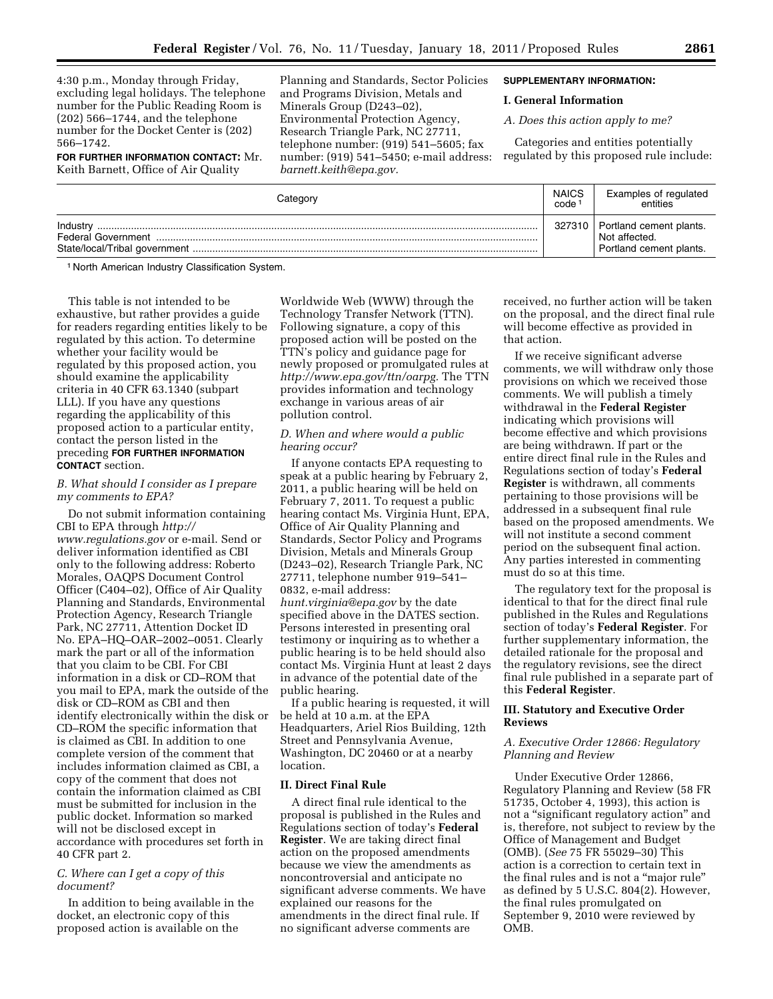4:30 p.m., Monday through Friday, excluding legal holidays. The telephone number for the Public Reading Room is (202) 566–1744, and the telephone number for the Docket Center is (202) 566–1742.

**FOR FURTHER INFORMATION CONTACT:** Mr. Keith Barnett, Office of Air Quality

Planning and Standards, Sector Policies and Programs Division, Metals and Minerals Group (D243–02), Environmental Protection Agency, Research Triangle Park, NC 27711, telephone number: (919) 541–5605; fax number: (919) 541–5450; e-mail address: *[barnett.keith@epa.gov.](mailto:barnett.keith@epa.gov)* 

### **SUPPLEMENTARY INFORMATION:**

#### **I. General Information**

### *A. Does this action apply to me?*

Categories and entities potentially regulated by this proposed rule include:

| Category                       | <b>NAICS</b><br>code | Examples of regulated<br>entities                                            |
|--------------------------------|----------------------|------------------------------------------------------------------------------|
| Industry<br>Federal Government |                      | 327310   Portland cement plants.<br>Not affected.<br>Portland cement plants. |

1 North American Industry Classification System.

This table is not intended to be exhaustive, but rather provides a guide for readers regarding entities likely to be regulated by this action. To determine whether your facility would be regulated by this proposed action, you should examine the applicability criteria in 40 CFR 63.1340 (subpart LLL). If you have any questions regarding the applicability of this proposed action to a particular entity, contact the person listed in the preceding **FOR FURTHER INFORMATION CONTACT** section.

# *B. What should I consider as I prepare my comments to EPA?*

Do not submit information containing CBI to EPA through *[http://](http://www.regulations.gov)  [www.regulations.gov](http://www.regulations.gov)* or e-mail. Send or deliver information identified as CBI only to the following address: Roberto Morales, OAQPS Document Control Officer (C404–02), Office of Air Quality Planning and Standards, Environmental Protection Agency, Research Triangle Park, NC 27711, Attention Docket ID No. EPA–HQ–OAR–2002–0051. Clearly mark the part or all of the information that you claim to be CBI. For CBI information in a disk or CD–ROM that you mail to EPA, mark the outside of the disk or CD–ROM as CBI and then identify electronically within the disk or CD–ROM the specific information that is claimed as CBI. In addition to one complete version of the comment that includes information claimed as CBI, a copy of the comment that does not contain the information claimed as CBI must be submitted for inclusion in the public docket. Information so marked will not be disclosed except in accordance with procedures set forth in 40 CFR part 2.

# *C. Where can I get a copy of this document?*

In addition to being available in the docket, an electronic copy of this proposed action is available on the

Worldwide Web (WWW) through the Technology Transfer Network (TTN). Following signature, a copy of this proposed action will be posted on the TTN's policy and guidance page for newly proposed or promulgated rules at *[http://www.epa.gov/ttn/oarpg.](http://www.epa.gov/ttn/oarpg)* The TTN provides information and technology exchange in various areas of air pollution control.

# *D. When and where would a public hearing occur?*

If anyone contacts EPA requesting to speak at a public hearing by February 2, 2011, a public hearing will be held on February 7, 2011. To request a public hearing contact Ms. Virginia Hunt, EPA, Office of Air Quality Planning and Standards, Sector Policy and Programs Division, Metals and Minerals Group (D243–02), Research Triangle Park, NC 27711, telephone number 919–541– 0832, e-mail address: *[hunt.virginia@epa.gov](mailto:hunt.virginia@epa.gov)* by the date specified above in the DATES section. Persons interested in presenting oral testimony or inquiring as to whether a public hearing is to be held should also contact Ms. Virginia Hunt at least 2 days in advance of the potential date of the public hearing.

If a public hearing is requested, it will be held at 10 a.m. at the EPA Headquarters, Ariel Rios Building, 12th Street and Pennsylvania Avenue, Washington, DC 20460 or at a nearby location.

#### **II. Direct Final Rule**

A direct final rule identical to the proposal is published in the Rules and Regulations section of today's **Federal Register**. We are taking direct final action on the proposed amendments because we view the amendments as noncontroversial and anticipate no significant adverse comments. We have explained our reasons for the amendments in the direct final rule. If no significant adverse comments are

received, no further action will be taken on the proposal, and the direct final rule will become effective as provided in that action.

If we receive significant adverse comments, we will withdraw only those provisions on which we received those comments. We will publish a timely withdrawal in the **Federal Register**  indicating which provisions will become effective and which provisions are being withdrawn. If part or the entire direct final rule in the Rules and Regulations section of today's **Federal Register** is withdrawn, all comments pertaining to those provisions will be addressed in a subsequent final rule based on the proposed amendments. We will not institute a second comment period on the subsequent final action. Any parties interested in commenting must do so at this time.

The regulatory text for the proposal is identical to that for the direct final rule published in the Rules and Regulations section of today's **Federal Register**. For further supplementary information, the detailed rationale for the proposal and the regulatory revisions, see the direct final rule published in a separate part of this **Federal Register**.

### **III. Statutory and Executive Order Reviews**

## *A. Executive Order 12866: Regulatory Planning and Review*

Under Executive Order 12866, Regulatory Planning and Review (58 FR 51735, October 4, 1993), this action is not a "significant regulatory action" and is, therefore, not subject to review by the Office of Management and Budget (OMB). (*See* 75 FR 55029–30) This action is a correction to certain text in the final rules and is not a ''major rule'' as defined by 5 U.S.C. 804(2). However, the final rules promulgated on September 9, 2010 were reviewed by OMB.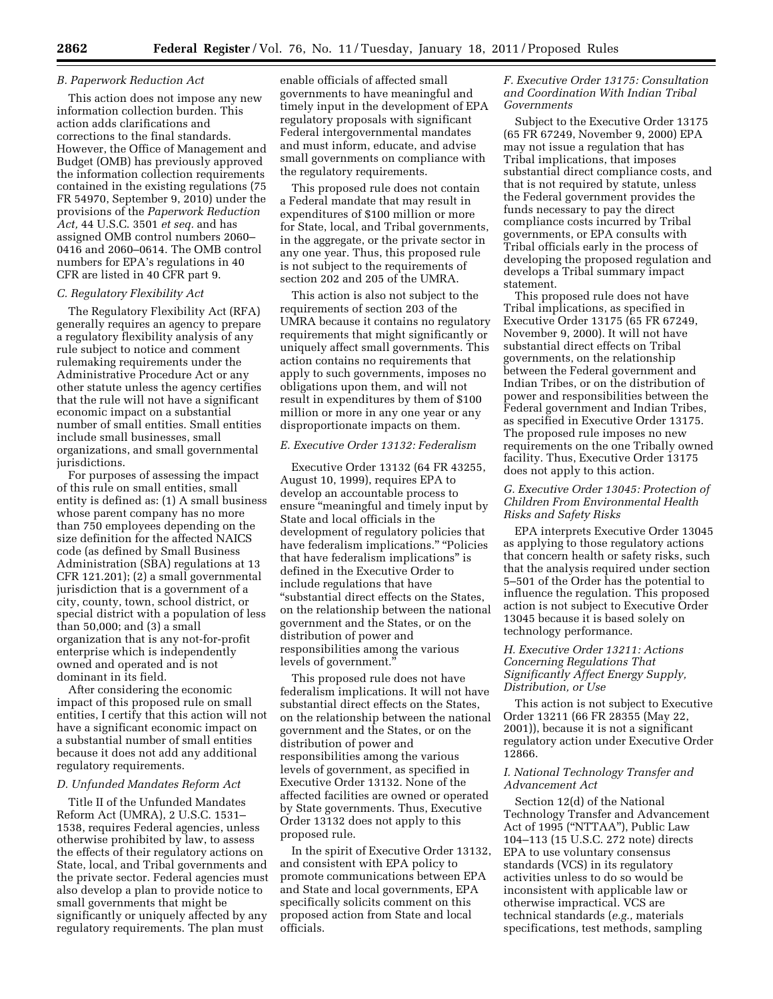#### *B. Paperwork Reduction Act*

This action does not impose any new information collection burden. This action adds clarifications and corrections to the final standards. However, the Office of Management and Budget (OMB) has previously approved the information collection requirements contained in the existing regulations (75 FR 54970, September 9, 2010) under the provisions of the *Paperwork Reduction Act,* 44 U.S.C. 3501 *et seq.* and has assigned OMB control numbers 2060– 0416 and 2060–0614. The OMB control numbers for EPA's regulations in 40 CFR are listed in 40 CFR part 9.

### *C. Regulatory Flexibility Act*

The Regulatory Flexibility Act (RFA) generally requires an agency to prepare a regulatory flexibility analysis of any rule subject to notice and comment rulemaking requirements under the Administrative Procedure Act or any other statute unless the agency certifies that the rule will not have a significant economic impact on a substantial number of small entities. Small entities include small businesses, small organizations, and small governmental jurisdictions.

For purposes of assessing the impact of this rule on small entities, small entity is defined as: (1) A small business whose parent company has no more than 750 employees depending on the size definition for the affected NAICS code (as defined by Small Business Administration (SBA) regulations at 13 CFR 121.201); (2) a small governmental jurisdiction that is a government of a city, county, town, school district, or special district with a population of less than 50,000; and (3) a small organization that is any not-for-profit enterprise which is independently owned and operated and is not dominant in its field.

After considering the economic impact of this proposed rule on small entities, I certify that this action will not have a significant economic impact on a substantial number of small entities because it does not add any additional regulatory requirements.

#### *D. Unfunded Mandates Reform Act*

Title II of the Unfunded Mandates Reform Act (UMRA), 2 U.S.C. 1531– 1538, requires Federal agencies, unless otherwise prohibited by law, to assess the effects of their regulatory actions on State, local, and Tribal governments and the private sector. Federal agencies must also develop a plan to provide notice to small governments that might be significantly or uniquely affected by any regulatory requirements. The plan must

enable officials of affected small governments to have meaningful and timely input in the development of EPA regulatory proposals with significant Federal intergovernmental mandates and must inform, educate, and advise small governments on compliance with the regulatory requirements.

This proposed rule does not contain a Federal mandate that may result in expenditures of \$100 million or more for State, local, and Tribal governments, in the aggregate, or the private sector in any one year. Thus, this proposed rule is not subject to the requirements of section 202 and 205 of the UMRA.

This action is also not subject to the requirements of section 203 of the UMRA because it contains no regulatory requirements that might significantly or uniquely affect small governments. This action contains no requirements that apply to such governments, imposes no obligations upon them, and will not result in expenditures by them of \$100 million or more in any one year or any disproportionate impacts on them.

#### *E. Executive Order 13132: Federalism*

Executive Order 13132 (64 FR 43255, August 10, 1999), requires EPA to develop an accountable process to ensure "meaningful and timely input by State and local officials in the development of regulatory policies that have federalism implications." "Policies that have federalism implications'' is defined in the Executive Order to include regulations that have ''substantial direct effects on the States, on the relationship between the national government and the States, or on the distribution of power and responsibilities among the various levels of government.''

This proposed rule does not have federalism implications. It will not have substantial direct effects on the States, on the relationship between the national government and the States, or on the distribution of power and responsibilities among the various levels of government, as specified in Executive Order 13132. None of the affected facilities are owned or operated by State governments. Thus, Executive Order 13132 does not apply to this proposed rule.

In the spirit of Executive Order 13132, and consistent with EPA policy to promote communications between EPA and State and local governments, EPA specifically solicits comment on this proposed action from State and local officials.

## *F. Executive Order 13175: Consultation and Coordination With Indian Tribal Governments*

Subject to the Executive Order 13175 (65 FR 67249, November 9, 2000) EPA may not issue a regulation that has Tribal implications, that imposes substantial direct compliance costs, and that is not required by statute, unless the Federal government provides the funds necessary to pay the direct compliance costs incurred by Tribal governments, or EPA consults with Tribal officials early in the process of developing the proposed regulation and develops a Tribal summary impact statement.

This proposed rule does not have Tribal implications, as specified in Executive Order 13175 (65 FR 67249, November 9, 2000). It will not have substantial direct effects on Tribal governments, on the relationship between the Federal government and Indian Tribes, or on the distribution of power and responsibilities between the Federal government and Indian Tribes, as specified in Executive Order 13175. The proposed rule imposes no new requirements on the one Tribally owned facility. Thus, Executive Order 13175 does not apply to this action.

# *G. Executive Order 13045: Protection of Children From Environmental Health Risks and Safety Risks*

EPA interprets Executive Order 13045 as applying to those regulatory actions that concern health or safety risks, such that the analysis required under section 5–501 of the Order has the potential to influence the regulation. This proposed action is not subject to Executive Order 13045 because it is based solely on technology performance.

# *H. Executive Order 13211: Actions Concerning Regulations That Significantly Affect Energy Supply, Distribution, or Use*

This action is not subject to Executive Order 13211 (66 FR 28355 (May 22, 2001)), because it is not a significant regulatory action under Executive Order 12866.

### *I. National Technology Transfer and Advancement Act*

Section 12(d) of the National Technology Transfer and Advancement Act of 1995 (''NTTAA''), Public Law 104–113 (15 U.S.C. 272 note) directs EPA to use voluntary consensus standards (VCS) in its regulatory activities unless to do so would be inconsistent with applicable law or otherwise impractical. VCS are technical standards (*e.g.,* materials specifications, test methods, sampling